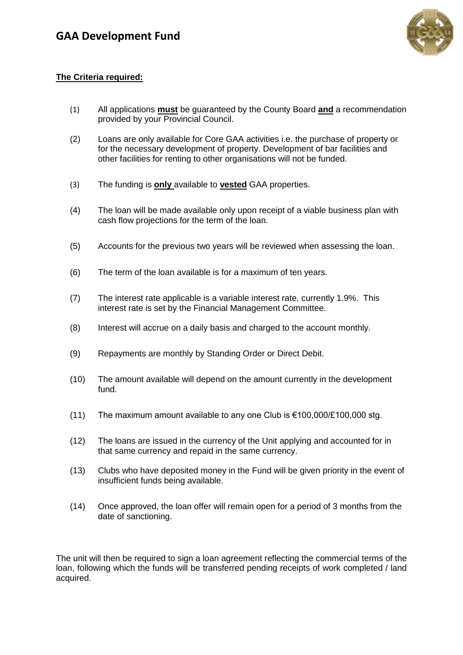

### **The Criteria required:**

- (1) All applications **must** be guaranteed by the County Board **and** a recommendation provided by your Provincial Council.
- (2) Loans are only available for Core GAA activities i.e. the purchase of property or for the necessary development of property. Development of bar facilities and other facilities for renting to other organisations will not be funded.
- (3) The funding is **only** available to **vested** GAA properties.
- (4) The loan will be made available only upon receipt of a viable business plan with cash flow projections for the term of the loan.
- (5) Accounts for the previous two years will be reviewed when assessing the loan.
- (6) The term of the loan available is for a maximum of ten years.
- (7) The interest rate applicable is a variable interest rate, currently 1.9%. This interest rate is set by the Financial Management Committee.
- (8) Interest will accrue on a daily basis and charged to the account monthly.
- (9) Repayments are monthly by Standing Order or Direct Debit.
- (10) The amount available will depend on the amount currently in the development fund.
- (11) The maximum amount available to any one Club is  $\epsilon$ 100,000/£100,000 stg.
- (12) The loans are issued in the currency of the Unit applying and accounted for in that same currency and repaid in the same currency.
- (13) Clubs who have deposited money in the Fund will be given priority in the event of insufficient funds being available.
- (14) Once approved, the loan offer will remain open for a period of 3 months from the date of sanctioning.

The unit will then be required to sign a loan agreement reflecting the commercial terms of the loan, following which the funds will be transferred pending receipts of work completed / land acquired.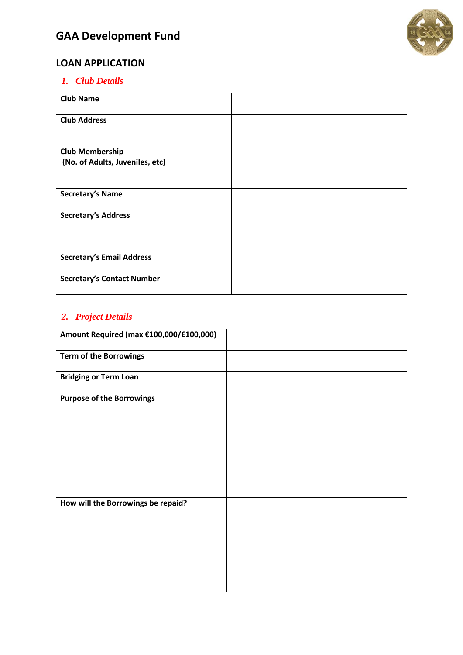# **GAA Development Fund**



# **LOAN APPLICATION**

### *1. Club Details*

| <b>Club Name</b>                  |  |
|-----------------------------------|--|
| <b>Club Address</b>               |  |
| <b>Club Membership</b>            |  |
| (No. of Adults, Juveniles, etc)   |  |
| <b>Secretary's Name</b>           |  |
| <b>Secretary's Address</b>        |  |
| <b>Secretary's Email Address</b>  |  |
| <b>Secretary's Contact Number</b> |  |

# *2. Project Details*

| Amount Required (max €100,000/£100,000) |  |
|-----------------------------------------|--|
| <b>Term of the Borrowings</b>           |  |
| <b>Bridging or Term Loan</b>            |  |
| <b>Purpose of the Borrowings</b>        |  |
| How will the Borrowings be repaid?      |  |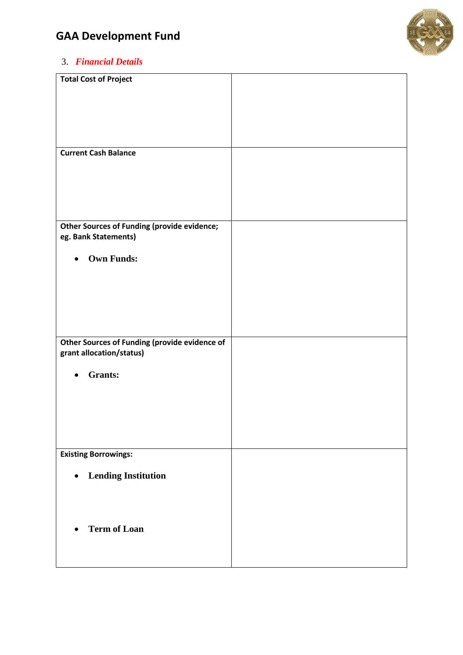# **GAA Development Fund**



## 3. *Financial Details*

| <b>Total Cost of Project</b>                       |  |
|----------------------------------------------------|--|
|                                                    |  |
|                                                    |  |
|                                                    |  |
|                                                    |  |
|                                                    |  |
|                                                    |  |
|                                                    |  |
|                                                    |  |
| <b>Current Cash Balance</b>                        |  |
|                                                    |  |
|                                                    |  |
|                                                    |  |
|                                                    |  |
|                                                    |  |
|                                                    |  |
|                                                    |  |
|                                                    |  |
| <b>Other Sources of Funding (provide evidence;</b> |  |
| eg. Bank Statements)                               |  |
|                                                    |  |
|                                                    |  |
| <b>Own Funds:</b><br>$\bullet$                     |  |
|                                                    |  |
|                                                    |  |
|                                                    |  |
|                                                    |  |
|                                                    |  |
|                                                    |  |
|                                                    |  |
|                                                    |  |
|                                                    |  |
| Other Sources of Funding (provide evidence of      |  |
| grant allocation/status)                           |  |
|                                                    |  |
|                                                    |  |
| <b>Grants:</b><br>$\bullet$                        |  |
|                                                    |  |
|                                                    |  |
|                                                    |  |
|                                                    |  |
|                                                    |  |
|                                                    |  |
|                                                    |  |
|                                                    |  |
| <b>Existing Borrowings:</b>                        |  |
|                                                    |  |
|                                                    |  |
| <b>Lending Institution</b><br>$\bullet$            |  |
|                                                    |  |
|                                                    |  |
|                                                    |  |
|                                                    |  |
|                                                    |  |
| <b>Term of Loan</b><br>$\bullet$                   |  |
|                                                    |  |
|                                                    |  |
|                                                    |  |
|                                                    |  |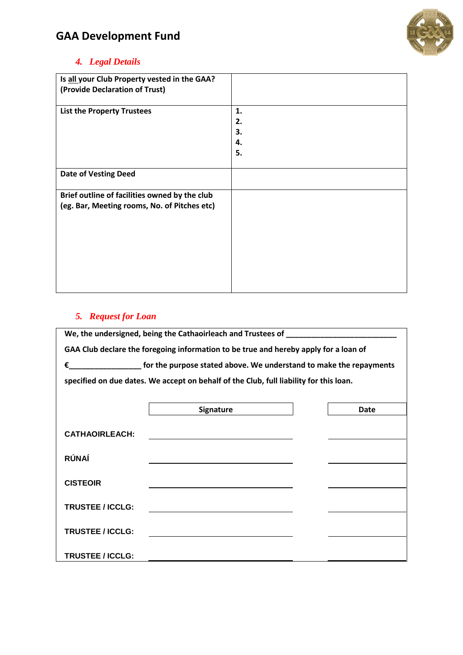

# *4. Legal Details*

| Is all your Club Property vested in the GAA?<br>(Provide Declaration of Trust)                |                            |
|-----------------------------------------------------------------------------------------------|----------------------------|
| <b>List the Property Trustees</b>                                                             | 1.<br>2.<br>3.<br>4.<br>5. |
| <b>Date of Vesting Deed</b>                                                                   |                            |
| Brief outline of facilities owned by the club<br>(eg. Bar, Meeting rooms, No. of Pitches etc) |                            |

# *5. Request for Loan*

| We, the undersigned, being the Cathaoirleach and Trustees of ___________________ |                                                                                                                       |      |  |
|----------------------------------------------------------------------------------|-----------------------------------------------------------------------------------------------------------------------|------|--|
|                                                                                  | GAA Club declare the foregoing information to be true and hereby apply for a loan of                                  |      |  |
| for the purpose stated above. We understand to make the repayments<br>€          |                                                                                                                       |      |  |
|                                                                                  | specified on due dates. We accept on behalf of the Club, full liability for this loan.                                |      |  |
|                                                                                  |                                                                                                                       |      |  |
|                                                                                  | <b>Signature</b>                                                                                                      | Date |  |
|                                                                                  |                                                                                                                       |      |  |
| <b>CATHAOIRLEACH:</b>                                                            |                                                                                                                       |      |  |
| <b>RÚNAÍ</b>                                                                     |                                                                                                                       |      |  |
|                                                                                  |                                                                                                                       |      |  |
| <b>CISTEOIR</b>                                                                  |                                                                                                                       |      |  |
| <b>TRUSTEE / ICCLG:</b>                                                          |                                                                                                                       |      |  |
|                                                                                  | <u> 1989 - Johann John Stone, meil in der Stone besteht der Stone besteht der Stone besteht der Stone besteht der</u> |      |  |
| <b>TRUSTEE / ICCLG:</b>                                                          |                                                                                                                       |      |  |
|                                                                                  |                                                                                                                       |      |  |
| <b>TRUSTEE / ICCLG:</b>                                                          |                                                                                                                       |      |  |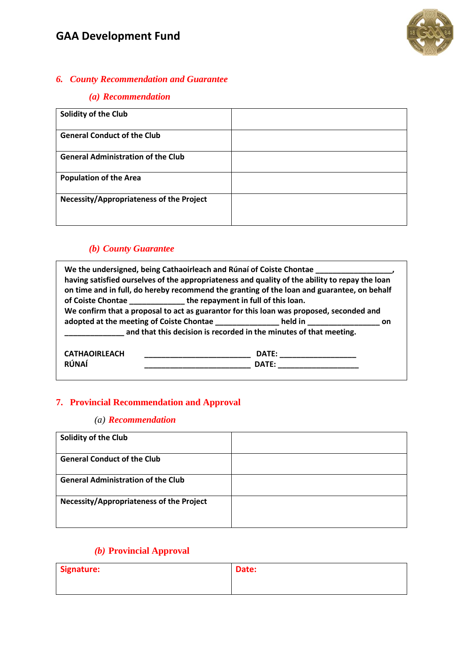

### *6. County Recommendation and Guarantee*

### *(a) Recommendation*

| <b>Solidity of the Club</b>               |  |
|-------------------------------------------|--|
| <b>General Conduct of the Club</b>        |  |
| <b>General Administration of the Club</b> |  |
| <b>Population of the Area</b>             |  |
| Necessity/Appropriateness of the Project  |  |

## *(b) County Guarantee*

| We the undersigned, being Cathaoirleach and Rúnaí of Coiste Chontae<br>having satisfied ourselves of the appropriateness and quality of the ability to repay the loan<br>on time and in full, do hereby recommend the granting of the loan and guarantee, on behalf<br>of Coiste Chontae the repayment in full of this loan.<br>We confirm that a proposal to act as guarantor for this loan was proposed, seconded and |              |  |
|-------------------------------------------------------------------------------------------------------------------------------------------------------------------------------------------------------------------------------------------------------------------------------------------------------------------------------------------------------------------------------------------------------------------------|--------------|--|
| adopted at the meeting of Coiste Chontae ______________ held in _________________ on                                                                                                                                                                                                                                                                                                                                    |              |  |
| and that this decision is recorded in the minutes of that meeting.                                                                                                                                                                                                                                                                                                                                                      |              |  |
| <b>CATHAOIRLEACH</b>                                                                                                                                                                                                                                                                                                                                                                                                    | <b>DATE:</b> |  |
| <b>RÚNAÍ</b>                                                                                                                                                                                                                                                                                                                                                                                                            | <b>DATE:</b> |  |

### **7. Provincial Recommendation and Approval**

#### *(a) Recommendation*

| <b>Solidity of the Club</b>               |  |
|-------------------------------------------|--|
| <b>General Conduct of the Club</b>        |  |
| <b>General Administration of the Club</b> |  |
| Necessity/Appropriateness of the Project  |  |

# *(b)* **Provincial Approval**

| Signature: | Date: |
|------------|-------|
|            |       |